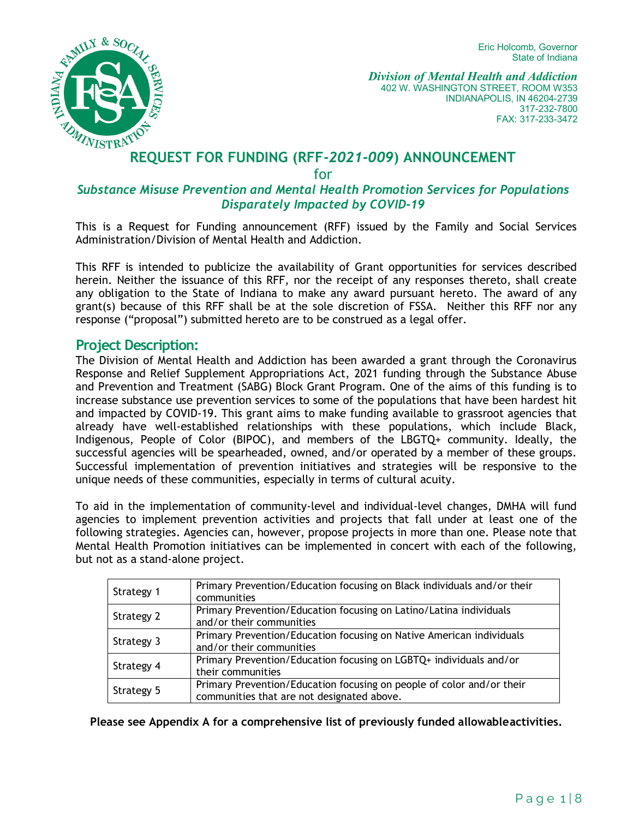Eric Holcomb, Governor State of Indiana



*Division of Mental Health and Addiction* 402 W. WASHINGTON STREET, ROOM W353 INDIANAPOLIS, IN 46204-2739 317-232-7800 FAX: 317-233-3472

# **REQUEST FOR FUNDING (RFF-2021-009) ANNOUNCEMENT**

for

#### *Substance Misuse Prevention and Mental Health Promotion Services for Populations Disparately Impacted by COVID-19*

This is a Request for Funding announcement (RFF) issued by the Family and Social Services Administration/Division of Mental Health and Addiction.

This RFF is intended to publicize the availability of Grant opportunities for services described herein. Neither the issuance of this RFF, nor the receipt of any responses thereto, shall create any obligation to the State of Indiana to make any award pursuant hereto. The award of any grant(s) because of this RFF shall be at the sole discretion of FSSA. Neither this RFF nor any response ("proposal") submitted hereto are to be construed as a legal offer.

#### **Project Description:**

The Division of Mental Health and Addiction has been awarded a grant through the Coronavirus Response and Relief Supplement Appropriations Act, 2021 funding through the Substance Abuse and Prevention and Treatment (SABG) Block Grant Program. One of the aims of this funding is to increase substance use prevention services to some of the populations that have been hardest hit and impacted by COVID-19. This grant aims to make funding available to grassroot agencies that already have well-established relationships with these populations, which include Black, Indigenous, People of Color (BIPOC), and members of the LBGTQ+ community. Ideally, the successful agencies will be spearheaded, owned, and/or operated by a member of these groups. Successful implementation of prevention initiatives and strategies will be responsive to the unique needs of these communities, especially in terms of cultural acuity.

To aid in the implementation of community-level and individual-level changes, DMHA will fund agencies to implement prevention activities and projects that fall under at least one of the following strategies. Agencies can, however, propose projects in more than one. Please note that Mental Health Promotion initiatives can be implemented in concert with each of the following, but not as a stand-alone project.

| Strategy 1 | Primary Prevention/Education focusing on Black individuals and/or their<br>communities                              |
|------------|---------------------------------------------------------------------------------------------------------------------|
| Strategy 2 | Primary Prevention/Education focusing on Latino/Latina individuals<br>and/or their communities                      |
| Strategy 3 | Primary Prevention/Education focusing on Native American individuals<br>and/or their communities                    |
| Strategy 4 | Primary Prevention/Education focusing on LGBTQ+ individuals and/or<br>their communities                             |
| Strategy 5 | Primary Prevention/Education focusing on people of color and/or their<br>communities that are not designated above. |

**Please see Appendix A for a comprehensive list of previously funded allowableactivities.**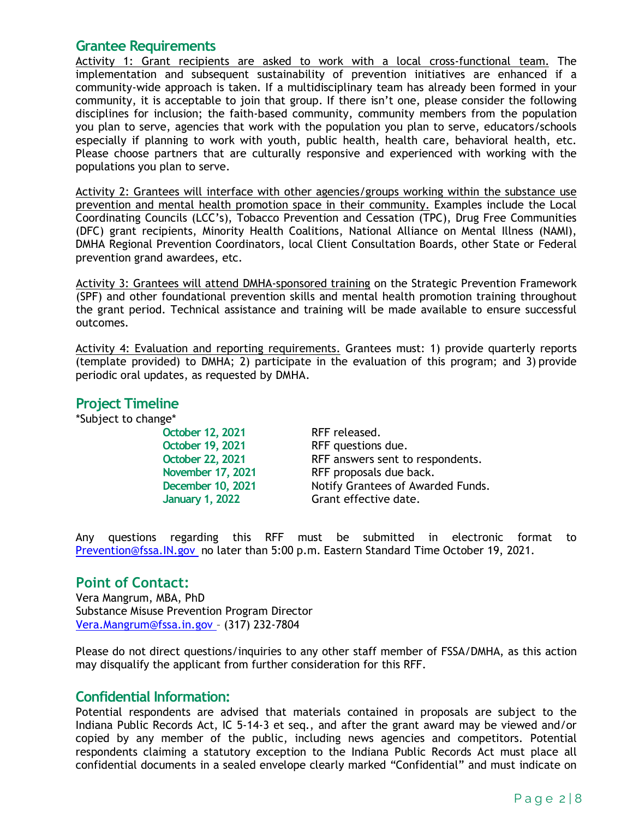### **Grantee Requirements**

Activity 1: Grant recipients are asked to work with a local cross-functional team. The implementation and subsequent sustainability of prevention initiatives are enhanced if a community-wide approach is taken. If a multidisciplinary team has already been formed in your community, it is acceptable to join that group. If there isn't one, please consider the following disciplines for inclusion; the faith-based community, community members from the population you plan to serve, agencies that work with the population you plan to serve, educators/schools especially if planning to work with youth, public health, health care, behavioral health, etc. Please choose partners that are culturally responsive and experienced with working with the populations you plan to serve.

Activity 2: Grantees will interface with other agencies/groups working within the substance use prevention and mental health promotion space in their community. Examples include the Local Coordinating Councils (LCC's), Tobacco Prevention and Cessation (TPC), Drug Free Communities (DFC) grant recipients, Minority Health Coalitions, National Alliance on Mental Illness (NAMI), DMHA Regional Prevention Coordinators, local Client Consultation Boards, other State or Federal prevention grand awardees, etc.

Activity 3: Grantees will attend DMHA-sponsored training on the Strategic Prevention Framework (SPF) and other foundational prevention skills and mental health promotion training throughout the grant period. Technical assistance and training will be made available to ensure successful outcomes.

Activity 4: Evaluation and reporting requirements. Grantees must: 1) provide quarterly reports (template provided) to DMHA; 2) participate in the evaluation of this program; and 3) provide periodic oral updates, as requested by DMHA.

#### **Project Timeline**

\*Subject to change\*

**October 12, 2021** RFF released.

**October 19, 2021** RFF questions due. **October 22, 2021** RFF answers sent to respondents. **November 17, 2021** RFF proposals due back. **December 10, 2021** Notify Grantees of Awarded Funds. **January 1, 2022** Grant effective date.

Any questions regarding this RFF must be submitted in electronic format to [Prevention@fssa.IN.gov](mailto:Prevention@fssa.IN.gov) no later than 5:00 p.m. Eastern Standard Time October 19, 2021.

#### **Point of Contact:**

Vera Mangrum, MBA, PhD Substance Misuse Prevention Program Director [Vera.Mangrum@fssa.in.gov](mailto:Vera.Mangrum@fssa.in.gov) – (317) 232-7804

Please do not direct questions/inquiries to any other staff member of FSSA/DMHA, as this action may disqualify the applicant from further consideration for this RFF.

#### **Confidential Information:**

Potential respondents are advised that materials contained in proposals are subject to the Indiana Public Records Act, IC 5-14-3 et seq., and after the grant award may be viewed and/or copied by any member of the public, including news agencies and competitors. Potential respondents claiming a statutory exception to the Indiana Public Records Act must place all confidential documents in a sealed envelope clearly marked "Confidential" and must indicate on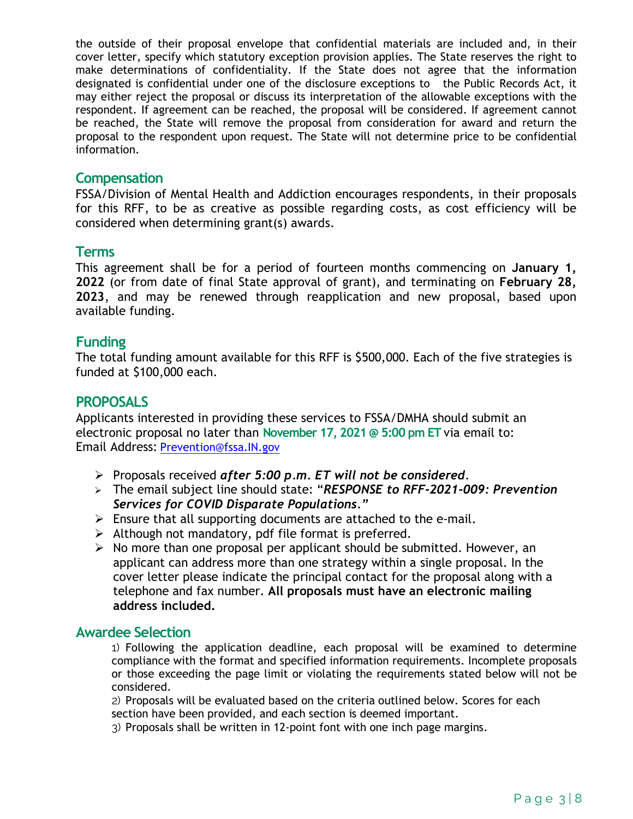the outside of their proposal envelope that confidential materials are included and, in their cover letter, specify which statutory exception provision applies. The State reserves the right to make determinations of confidentiality. If the State does not agree that the information designated is confidential under one of the disclosure exceptions to the Public Records Act, it may either reject the proposal or discuss its interpretation of the allowable exceptions with the respondent. If agreement can be reached, the proposal will be considered. If agreement cannot be reached, the State will remove the proposal from consideration for award and return the proposal to the respondent upon request. The State will not determine price to be confidential information.

#### **Compensation**

FSSA/Division of Mental Health and Addiction encourages respondents, in their proposals for this RFF, to be as creative as possible regarding costs, as cost efficiency will be considered when determining grant(s) awards.

#### **Terms**

This agreement shall be for a period of fourteen months commencing on **January 1, 2022** (or from date of final State approval of grant), and terminating on **February 28, 2023**, and may be renewed through reapplication and new proposal, based upon available funding.

#### **Funding**

The total funding amount available for this RFF is \$500,000. Each of the five strategies is funded at \$100,000 each.

#### **PROPOSALS**

Applicants interested in providing these services to FSSA/DMHA should submit an electronic proposal no later than **November 17, 2021 @ 5:00 pm ET** via email to: Email Address: [Prevention@fssa.IN.gov](mailto:Prevention@fssa.IN.gov)

- Proposals received *after 5:00 p.m. ET will not be considered*.
- The email subject line should state: "*RESPONSE to RFF-2021-009: Prevention Services for COVID Disparate Populations."*
- $\triangleright$  Ensure that all supporting documents are attached to the e-mail.
- $\triangleright$  Although not mandatory, pdf file format is preferred.
- $\triangleright$  No more than one proposal per applicant should be submitted. However, an applicant can address more than one strategy within a single proposal. In the cover letter please indicate the principal contact for the proposal along with a telephone and fax number. **All proposals must have an electronic mailing address included.**

#### **Awardee Selection**

1) Following the application deadline, each proposal will be examined to determine compliance with the format and specified information requirements. Incomplete proposals or those exceeding the page limit or violating the requirements stated below will not be considered.

2) Proposals will be evaluated based on the criteria outlined below. Scores for each section have been provided, and each section is deemed important.

3) Proposals shall be written in 12-point font with one inch page margins.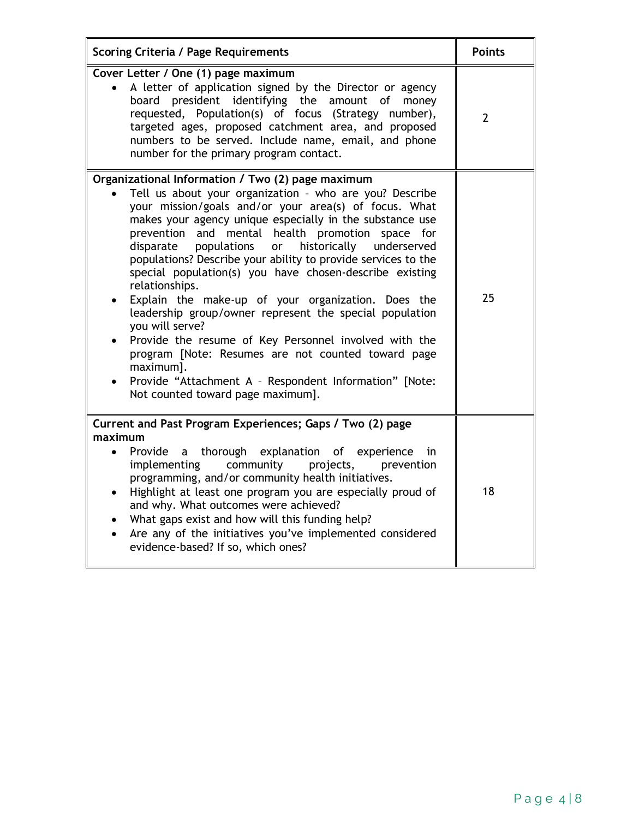| <b>Scoring Criteria / Page Requirements</b>                                                                                                                                                                                                                                                                                                                                                                                                                                                                                                                                                                                                                                                                                                                                                                                                                            | <b>Points</b>  |
|------------------------------------------------------------------------------------------------------------------------------------------------------------------------------------------------------------------------------------------------------------------------------------------------------------------------------------------------------------------------------------------------------------------------------------------------------------------------------------------------------------------------------------------------------------------------------------------------------------------------------------------------------------------------------------------------------------------------------------------------------------------------------------------------------------------------------------------------------------------------|----------------|
| Cover Letter / One (1) page maximum<br>A letter of application signed by the Director or agency<br>board president identifying the amount of money<br>requested, Population(s) of focus (Strategy number),<br>targeted ages, proposed catchment area, and proposed<br>numbers to be served. Include name, email, and phone<br>number for the primary program contact.                                                                                                                                                                                                                                                                                                                                                                                                                                                                                                  | $\overline{2}$ |
| Organizational Information / Two (2) page maximum<br>Tell us about your organization - who are you? Describe<br>your mission/goals and/or your area(s) of focus. What<br>makes your agency unique especially in the substance use<br>prevention and mental health promotion<br>space for<br>populations<br>historically<br>underserved<br>disparate<br>or<br>populations? Describe your ability to provide services to the<br>special population(s) you have chosen-describe existing<br>relationships.<br>Explain the make-up of your organization. Does the<br>leadership group/owner represent the special population<br>you will serve?<br>Provide the resume of Key Personnel involved with the<br>program [Note: Resumes are not counted toward page<br>maximum].<br>Provide "Attachment A - Respondent Information" [Note:<br>Not counted toward page maximum]. | 25             |
| Current and Past Program Experiences; Gaps / Two (2) page<br>maximum<br>thorough explanation of experience<br>Provide<br>a -<br>in<br>$\bullet$<br>implementing<br>community<br>prevention<br>projects,<br>programming, and/or community health initiatives.<br>Highlight at least one program you are especially proud of<br>$\bullet$<br>and why. What outcomes were achieved?<br>What gaps exist and how will this funding help?<br>Are any of the initiatives you've implemented considered<br>$\bullet$<br>evidence-based? If so, which ones?                                                                                                                                                                                                                                                                                                                     | 18             |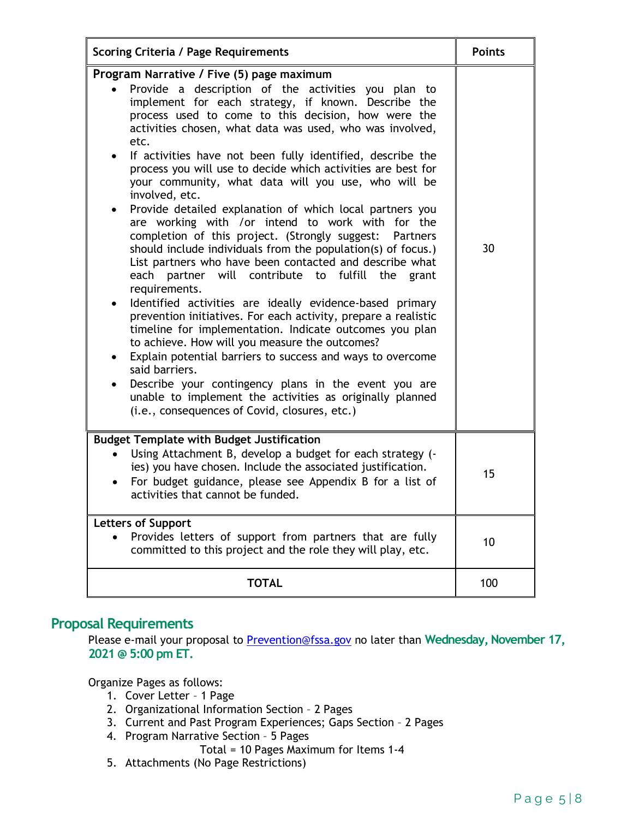| <b>Scoring Criteria / Page Requirements</b>                                                                                                                                                                                                                                                                                                                                                                                                                                                                                                                                                                                                                                                                                                                                                                                                                                                                                                                                                                                                                                                                                                                                                                                                                                                                                                                                                                       | <b>Points</b> |
|-------------------------------------------------------------------------------------------------------------------------------------------------------------------------------------------------------------------------------------------------------------------------------------------------------------------------------------------------------------------------------------------------------------------------------------------------------------------------------------------------------------------------------------------------------------------------------------------------------------------------------------------------------------------------------------------------------------------------------------------------------------------------------------------------------------------------------------------------------------------------------------------------------------------------------------------------------------------------------------------------------------------------------------------------------------------------------------------------------------------------------------------------------------------------------------------------------------------------------------------------------------------------------------------------------------------------------------------------------------------------------------------------------------------|---------------|
| Program Narrative / Five (5) page maximum<br>Provide a description of the activities you plan to<br>implement for each strategy, if known. Describe the<br>process used to come to this decision, how were the<br>activities chosen, what data was used, who was involved,<br>etc.<br>If activities have not been fully identified, describe the<br>$\bullet$<br>process you will use to decide which activities are best for<br>your community, what data will you use, who will be<br>involved, etc.<br>Provide detailed explanation of which local partners you<br>٠<br>are working with /or intend to work with for the<br>completion of this project. (Strongly suggest:<br><b>Partners</b><br>should include individuals from the population(s) of focus.)<br>List partners who have been contacted and describe what<br>each partner will contribute to fulfill the<br>grant<br>requirements.<br>Identified activities are ideally evidence-based primary<br>prevention initiatives. For each activity, prepare a realistic<br>timeline for implementation. Indicate outcomes you plan<br>to achieve. How will you measure the outcomes?<br>Explain potential barriers to success and ways to overcome<br>$\bullet$<br>said barriers.<br>Describe your contingency plans in the event you are<br>unable to implement the activities as originally planned<br>(i.e., consequences of Covid, closures, etc.) | 30            |
| <b>Budget Template with Budget Justification</b><br>Using Attachment B, develop a budget for each strategy (-<br>ies) you have chosen. Include the associated justification.<br>For budget guidance, please see Appendix B for a list of<br>activities that cannot be funded.                                                                                                                                                                                                                                                                                                                                                                                                                                                                                                                                                                                                                                                                                                                                                                                                                                                                                                                                                                                                                                                                                                                                     | 15            |
| <b>Letters of Support</b><br>Provides letters of support from partners that are fully<br>committed to this project and the role they will play, etc.                                                                                                                                                                                                                                                                                                                                                                                                                                                                                                                                                                                                                                                                                                                                                                                                                                                                                                                                                                                                                                                                                                                                                                                                                                                              | 10            |
| <b>TOTAL</b>                                                                                                                                                                                                                                                                                                                                                                                                                                                                                                                                                                                                                                                                                                                                                                                                                                                                                                                                                                                                                                                                                                                                                                                                                                                                                                                                                                                                      | 100           |

## **Proposal Requirements**

Please e-mail your proposal to [Prevention@fssa.gov](mailto:Prevention@fssa.gov) no later than **Wednesday, November 17, 2021 @ 5:00 pm ET.** 

Organize Pages as follows:

- 1. Cover Letter 1 Page
- 2. Organizational Information Section 2 Pages
- 3. Current and Past Program Experiences; Gaps Section 2 Pages
- 4. Program Narrative Section 5 Pages
	- Total = 10 Pages Maximum for Items 1-4
- 5. Attachments (No Page Restrictions)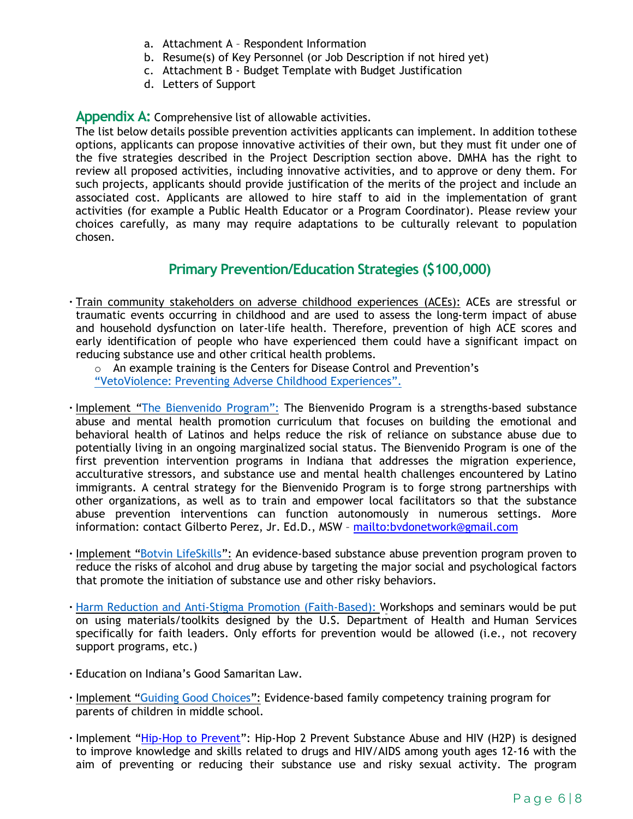- a. Attachment A Respondent Information
- b. Resume(s) of Key Personnel (or Job Description if not hired yet)
- c. Attachment B Budget Template with Budget Justification
- d. Letters of Support

#### **Appendix A:** Comprehensive list of allowable activities.

The list below details possible prevention activities applicants can implement. In addition tothese options, applicants can propose innovative activities of their own, but they must fit under one of the five strategies described in the Project Description section above. DMHA has the right to review all proposed activities, including innovative activities, and to approve or deny them. For such projects, applicants should provide justification of the merits of the project and include an associated cost. Applicants are allowed to hire staff to aid in the implementation of grant activities (for example a Public Health Educator or a Program Coordinator). Please review your choices carefully, as many may require adaptations to be culturally relevant to population chosen.

#### **Primary Prevention/Education Strategies (\$100,000)**

• Train community stakeholders on adverse childhood experiences (ACEs): ACEs are stressful or traumatic events occurring in childhood and are used to assess the long-term impact of abuse and household dysfunction on later-life health. Therefore, prevention of high ACE scores and early identification of people who have experienced them could have a significant impact on reducing substance use and other critical health problems.

 $\circ$  An example training is the Centers for Disease Control and Prevention's "VetoViolence: Preventing [Adverse Childhood](https://vetoviolence.cdc.gov/apps/aces-training/#/) Experiences".

- Implement "The Bienvenido Program": The Bienvenido Program is a strengths-based substance abuse and mental health promotion curriculum that focuses on building the emotional and behavioral health of Latinos and helps reduce the risk of reliance on substance abuse due to potentially living in an ongoing marginalized social status. The Bienvenido Program is one of the first prevention intervention programs in Indiana that addresses the migration experience, acculturative stressors, and substance use and mental health challenges encountered by Latino immigrants. A central strategy for the Bienvenido Program is to forge strong partnerships with other organizations, as well as to train and empower local facilitators so that the substance abuse prevention interventions can function autonomously in numerous settings. More information: contact Gilberto Perez, Jr. Ed.D., MSW –<mailto:bvdonetwork@gmail.com>
- Implement ["Botvin LifeSkills"](https://www.lifeskillstraining.com/): An evidence-based substance abuse prevention program proven to reduce the risks of alcohol and drug abuse by targeting the major social and psychological factors that promote the initiation of substance use and other risky behaviors.
- [Harm Reduction and Anti-Stigma Promotion \(Faith-Based\): W](https://www.hhs.gov/about/agencies/iea/partnerships/opioid-toolkit/index.html)orkshops and seminars would be put on using materials/toolkits designed by the U.S. Department of Health and Human Services specifically for faith leaders. Only efforts for prevention would be allowed (i.e., not recovery support programs, etc.)
- Education on Indiana's Good Samaritan Law.
- Implement ["Guiding Good Choices"](https://www.blueprintsprograms.org/guiding-good-choices-ggc/): Evidence-based family competency training program for parents of children in middle school.
- Implement ["Hip-Hop to Prevent"](https://hiphop2prevent.com/): Hip-Hop 2 Prevent Substance Abuse and HIV (H2P) is designed to improve knowledge and skills related to drugs and HIV/AIDS among youth ages 12-16 with the aim of preventing or reducing their substance use and risky sexual activity. The program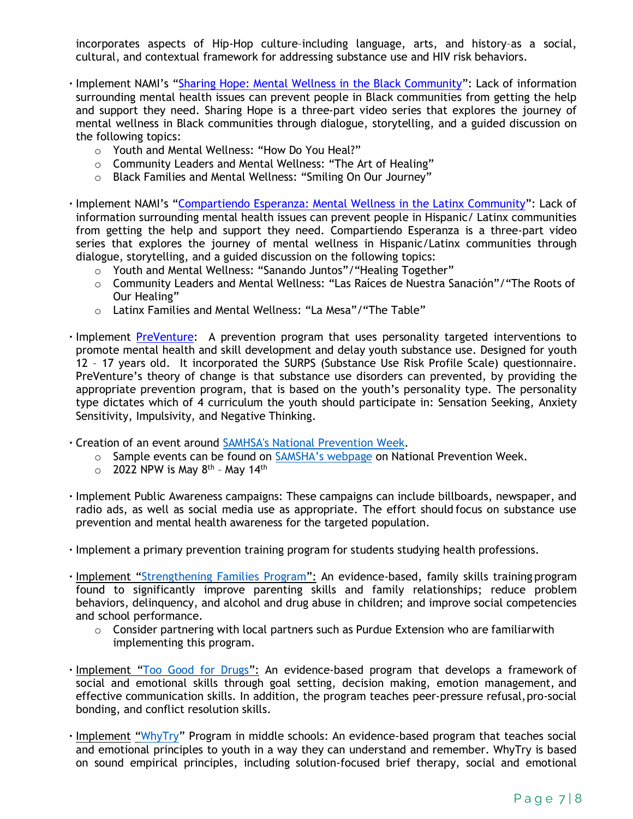incorporates aspects of Hip-Hop culture–including language, arts, and history–as a social, cultural, and contextual framework for addressing substance use and HIV risk behaviors.

- Implement NAMI's ["Sharing Hope: Mental Wellness in the Black Community"](https://www.nami.org/Support-Education/Mental-Health-Education/NAMI-Sharing-Hope-Mental-Wellness-in-the-Black-Community): Lack of information surrounding mental health issues can prevent people in Black communities from getting the help and support they need. Sharing Hope is a three-part video series that explores the journey of mental wellness in Black communities through dialogue, storytelling, and a guided discussion on the following topics:
	- o Youth and Mental Wellness: "How Do You Heal?"
	- o Community Leaders and Mental Wellness: "The Art of Healing"
	- o Black Families and Mental Wellness: "Smiling On Our Journey"
- Implement NAMI's ["Compartiendo Esperanza: Mental Wellness in the Latinx Community"](https://www.nami.org/Support-Education/Mental-Health-Education/NAMI-Compartiendo-Esperanza-Mental-Wellness-in-the-Latinx-Community): Lack of information surrounding mental health issues can prevent people in Hispanic/ Latinx communities from getting the help and support they need. Compartiendo Esperanza is a three-part video series that explores the journey of mental wellness in Hispanic/Latinx communities through dialogue, storytelling, and a guided discussion on the following topics:
	- o Youth and Mental Wellness: "Sanando Juntos"/"Healing Together"
	- o Community Leaders and Mental Wellness: "Las Raíces de Nuestra Sanación"/"The Roots of Our Healing"
	- o Latinx Families and Mental Wellness: "La Mesa"/"The Table"
- Implement [PreVenture:](https://preventure.us/) A prevention program that uses personality targeted interventions to promote mental health and skill development and delay youth substance use. Designed for youth 12 – 17 years old. It incorporated the SURPS (Substance Use Risk Profile Scale) questionnaire. PreVenture's theory of change is that substance use disorders can prevented, by providing the appropriate prevention program, that is based on the youth's personality type. The personality type dictates which of 4 curriculum the youth should participate in: Sensation Seeking, Anxiety Sensitivity, Impulsivity, and Negative Thinking.
- Creation of an event around SAMHSA's [National Prevention](https://www.samhsa.gov/prevention-week) Week.
	- o Sample events can be found on [SAMSHA's](https://www.samhsa.gov/prevention-week/community-events) webpage on National Prevention Week.
	- $\circ$  2022 NPW is May 8<sup>th</sup> May 14<sup>th</sup>
- Implement Public Awareness campaigns: These campaigns can include billboards, newspaper, and radio ads, as well as social media use as appropriate. The effort should focus on substance use prevention and mental health awareness for the targeted population.
- Implement a primary prevention training program for students studying health professions.
- Implement ["Strengthening Families Program"](https://strengtheningfamiliesprogram.org/): An evidence-based, family skills training program found to significantly improve parenting skills and family relationships; reduce problem behaviors, delinquency, and alcohol and drug abuse in children; and improve social competencies and school performance.
	- $\circ$  Consider partnering with local partners such as Purdue Extension who are familiarwith implementing this program.
- · Implement ["Too Good for Drugs"](https://ies.ed.gov/ncee/wwc/Docs/InterventionReports/WWC_Drugs_091406.pdf): An evidence-based program that develops a framework of social and emotional skills through goal setting, decision making, emotion management, and effective communication skills. In addition, the program teaches peer-pressure refusal, pro-social bonding, and conflict resolution skills.
- Implement ["WhyTry"](https://whytry.org/) Program in middle schools: An evidence-based program that teaches social and emotional principles to youth in a way they can understand and remember. WhyTry is based on sound empirical principles, including solution-focused brief therapy, social and emotional